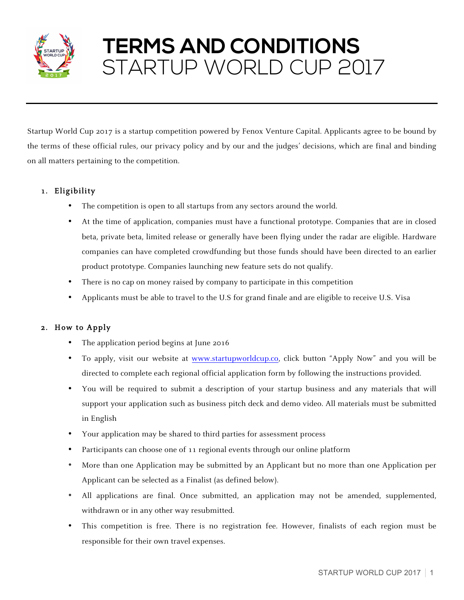

# **TERMS AND CONDITIONS** STARTUP WORLD CUP 2017

Startup World Cup 2017 is a startup competition powered by Fenox Venture Capital. Applicants agree to be bound by the terms of these official rules, our privacy policy and by our and the judges' decisions, which are final and binding on all matters pertaining to the competition.

# 1. Eligibility

- The competition is open to all startups from any sectors around the world.
- At the time of application, companies must have a functional prototype. Companies that are in closed beta, private beta, limited release or generally have been flying under the radar are eligible. Hardware companies can have completed crowdfunding but those funds should have been directed to an earlier product prototype. Companies launching new feature sets do not qualify.
- There is no cap on money raised by company to participate in this competition
- Applicants must be able to travel to the U.S for grand finale and are eligible to receive U.S. Visa

# 2. How to Apply

- The application period begins at June 2016
- To apply, visit our website at www.startupworldcup.co, click button "Apply Now" and you will be directed to complete each regional official application form by following the instructions provided.
- You will be required to submit a description of your startup business and any materials that will support your application such as business pitch deck and demo video. All materials must be submitted in English
- Your application may be shared to third parties for assessment process
- Participants can choose one of 11 regional events through our online platform
- More than one Application may be submitted by an Applicant but no more than one Application per Applicant can be selected as a Finalist (as defined below).
- All applications are final. Once submitted, an application may not be amended, supplemented, withdrawn or in any other way resubmitted.
- This competition is free. There is no registration fee. However, finalists of each region must be responsible for their own travel expenses.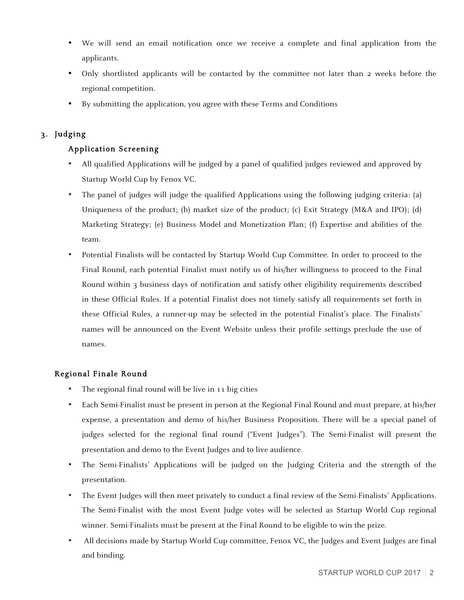- We will send an email notification once we receive a complete and final application from the applicants.
- Only shortlisted applicants will be contacted by the committee not later than 2 weeks before the regional competition.
- By submitting the application, you agree with these Terms and Conditions

## 3. Judging

## Application Screening

- All qualified Applications will be judged by a panel of qualified judges reviewed and approved by Startup World Cup by Fenox VC.
- The panel of judges will judge the qualified Applications using the following judging criteria: (a) Uniqueness of the product; (b) market size of the product; (c) Exit Strategy (M&A and IPO); (d) Marketing Strategy; (e) Business Model and Monetization Plan; (f) Expertise and abilities of the team.
- Potential Finalists will be contacted by Startup World Cup Committee. In order to proceed to the Final Round, each potential Finalist must notify us of his/her willingness to proceed to the Final Round within 3 business days of notification and satisfy other eligibility requirements described in these Official Rules. If a potential Finalist does not timely satisfy all requirements set forth in these Official Rules, a runner-up may be selected in the potential Finalist's place. The Finalists' names will be announced on the Event Website unless their profile settings preclude the use of names.

## Regional Finale Round

- The regional final round will be live in 11 big cities
- Each Semi-Finalist must be present in person at the Regional Final Round and must prepare, at his/her expense, a presentation and demo of his/her Business Proposition. There will be a special panel of judges selected for the regional final round ("Event Judges"). The Semi-Finalist will present the presentation and demo to the Event Judges and to live audience.
- The Semi-Finalists' Applications will be judged on the Judging Criteria and the strength of the presentation.
- The Event Judges will then meet privately to conduct a final review of the Semi-Finalists' Applications. The Semi-Finalist with the most Event Judge votes will be selected as Startup World Cup regional winner. Semi-Finalists must be present at the Final Round to be eligible to win the prize.
- All decisions made by Startup World Cup committee, Fenox VC, the Judges and Event Judges are final and binding.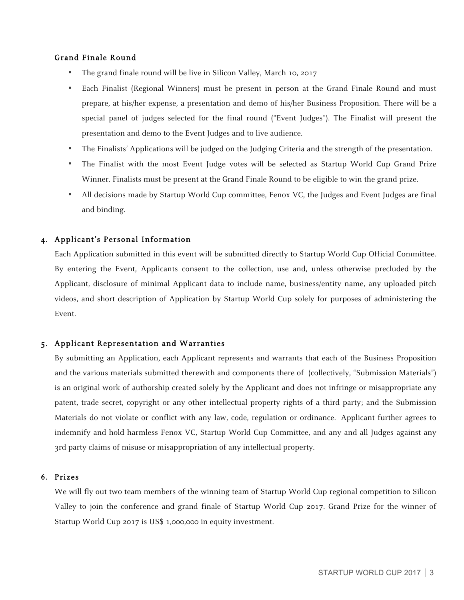## Grand Finale Round

- The grand finale round will be live in Silicon Valley, March 10, 2017
- Each Finalist (Regional Winners) must be present in person at the Grand Finale Round and must prepare, at his/her expense, a presentation and demo of his/her Business Proposition. There will be a special panel of judges selected for the final round ("Event Judges"). The Finalist will present the presentation and demo to the Event Judges and to live audience.
- The Finalists' Applications will be judged on the Judging Criteria and the strength of the presentation.
- The Finalist with the most Event Judge votes will be selected as Startup World Cup Grand Prize Winner. Finalists must be present at the Grand Finale Round to be eligible to win the grand prize.
- All decisions made by Startup World Cup committee, Fenox VC, the Judges and Event Judges are final and binding.

## 4. Applicant's Personal Information

Each Application submitted in this event will be submitted directly to Startup World Cup Official Committee. By entering the Event, Applicants consent to the collection, use and, unless otherwise precluded by the Applicant, disclosure of minimal Applicant data to include name, business/entity name, any uploaded pitch videos, and short description of Application by Startup World Cup solely for purposes of administering the Event.

## 5. Applicant Representation and Warranties

By submitting an Application, each Applicant represents and warrants that each of the Business Proposition and the various materials submitted therewith and components there of (collectively, "Submission Materials") is an original work of authorship created solely by the Applicant and does not infringe or misappropriate any patent, trade secret, copyright or any other intellectual property rights of a third party; and the Submission Materials do not violate or conflict with any law, code, regulation or ordinance. Applicant further agrees to indemnify and hold harmless Fenox VC, Startup World Cup Committee, and any and all Judges against any 3rd party claims of misuse or misappropriation of any intellectual property.

#### 6. Prizes

We will fly out two team members of the winning team of Startup World Cup regional competition to Silicon Valley to join the conference and grand finale of Startup World Cup 2017. Grand Prize for the winner of Startup World Cup 2017 is US\$ 1,000,000 in equity investment.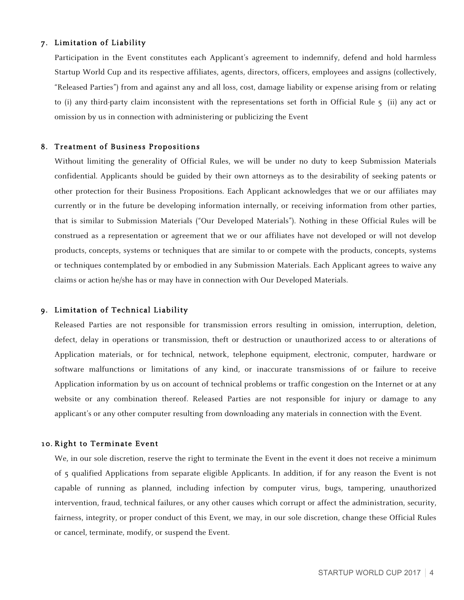#### 7. Limitation of Liability

Participation in the Event constitutes each Applicant's agreement to indemnify, defend and hold harmless Startup World Cup and its respective affiliates, agents, directors, officers, employees and assigns (collectively, "Released Parties") from and against any and all loss, cost, damage liability or expense arising from or relating to (i) any third-party claim inconsistent with the representations set forth in Official Rule 5 (ii) any act or omission by us in connection with administering or publicizing the Event

#### 8. Treatment of Business Propositions

Without limiting the generality of Official Rules, we will be under no duty to keep Submission Materials confidential. Applicants should be guided by their own attorneys as to the desirability of seeking patents or other protection for their Business Propositions. Each Applicant acknowledges that we or our affiliates may currently or in the future be developing information internally, or receiving information from other parties, that is similar to Submission Materials ("Our Developed Materials"). Nothing in these Official Rules will be construed as a representation or agreement that we or our affiliates have not developed or will not develop products, concepts, systems or techniques that are similar to or compete with the products, concepts, systems or techniques contemplated by or embodied in any Submission Materials. Each Applicant agrees to waive any claims or action he/she has or may have in connection with Our Developed Materials.

#### 9. Limitation of Technical Liability

Released Parties are not responsible for transmission errors resulting in omission, interruption, deletion, defect, delay in operations or transmission, theft or destruction or unauthorized access to or alterations of Application materials, or for technical, network, telephone equipment, electronic, computer, hardware or software malfunctions or limitations of any kind, or inaccurate transmissions of or failure to receive Application information by us on account of technical problems or traffic congestion on the Internet or at any website or any combination thereof. Released Parties are not responsible for injury or damage to any applicant's or any other computer resulting from downloading any materials in connection with the Event.

#### 10. Right to Terminate Event

We, in our sole discretion, reserve the right to terminate the Event in the event it does not receive a minimum of 5 qualified Applications from separate eligible Applicants. In addition, if for any reason the Event is not capable of running as planned, including infection by computer virus, bugs, tampering, unauthorized intervention, fraud, technical failures, or any other causes which corrupt or affect the administration, security, fairness, integrity, or proper conduct of this Event, we may, in our sole discretion, change these Official Rules or cancel, terminate, modify, or suspend the Event.